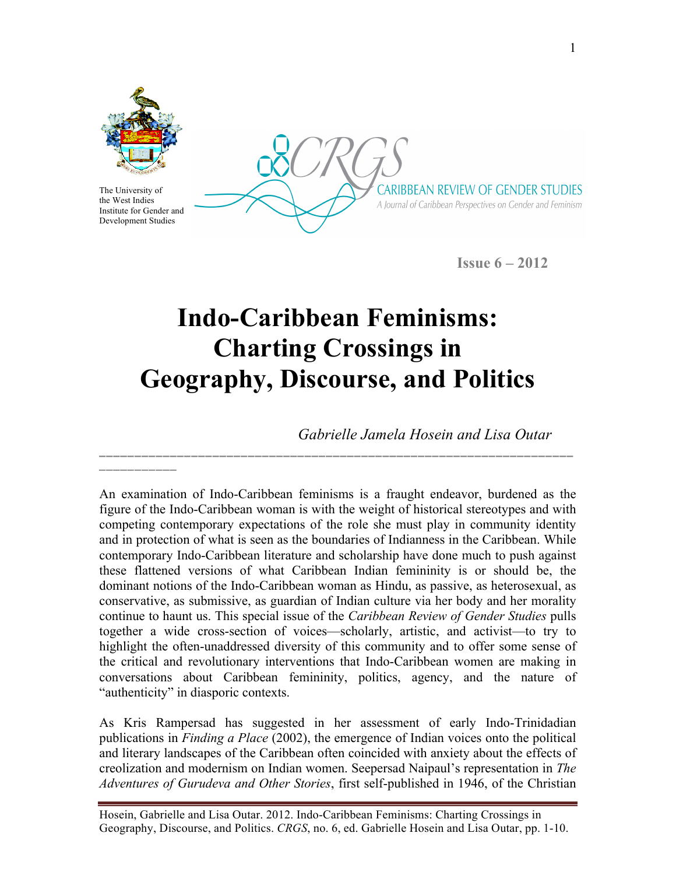

The University of the West Indies Institute for Gender and Development Studies

**\_\_\_\_\_\_\_\_\_\_\_** 

CARIBBEAN REVIEW OF GENDER STUDIES A Journal of Caribbean Perspectives on Gender and Feminism

**Issue 6 – 2012**

## **Indo-Caribbean Feminisms: Charting Crossings in Geography, Discourse, and Politics**

**\_\_\_\_\_\_\_\_\_\_\_\_\_\_\_\_\_\_\_\_\_\_\_\_\_\_\_\_\_\_\_\_\_\_\_\_\_\_\_\_\_\_\_\_\_\_\_\_\_\_\_\_\_\_\_\_\_\_\_\_\_\_\_\_\_\_\_**

*Gabrielle Jamela Hosein and Lisa Outar*

An examination of Indo-Caribbean feminisms is a fraught endeavor, burdened as the figure of the Indo-Caribbean woman is with the weight of historical stereotypes and with competing contemporary expectations of the role she must play in community identity and in protection of what is seen as the boundaries of Indianness in the Caribbean. While contemporary Indo-Caribbean literature and scholarship have done much to push against these flattened versions of what Caribbean Indian femininity is or should be, the dominant notions of the Indo-Caribbean woman as Hindu, as passive, as heterosexual, as conservative, as submissive, as guardian of Indian culture via her body and her morality continue to haunt us. This special issue of the *Caribbean Review of Gender Studies* pulls together a wide cross-section of voices—scholarly, artistic, and activist—to try to highlight the often-unaddressed diversity of this community and to offer some sense of the critical and revolutionary interventions that Indo-Caribbean women are making in conversations about Caribbean femininity, politics, agency, and the nature of "authenticity" in diasporic contexts.

As Kris Rampersad has suggested in her assessment of early Indo-Trinidadian publications in *Finding a Place* (2002), the emergence of Indian voices onto the political and literary landscapes of the Caribbean often coincided with anxiety about the effects of creolization and modernism on Indian women. Seepersad Naipaul's representation in *The Adventures of Gurudeva and Other Stories*, first self-published in 1946, of the Christian

Hosein, Gabrielle and Lisa Outar. 2012. Indo-Caribbean Feminisms: Charting Crossings in Geography, Discourse, and Politics. *CRGS*, no. 6, ed. Gabrielle Hosein and Lisa Outar, pp. 1-10.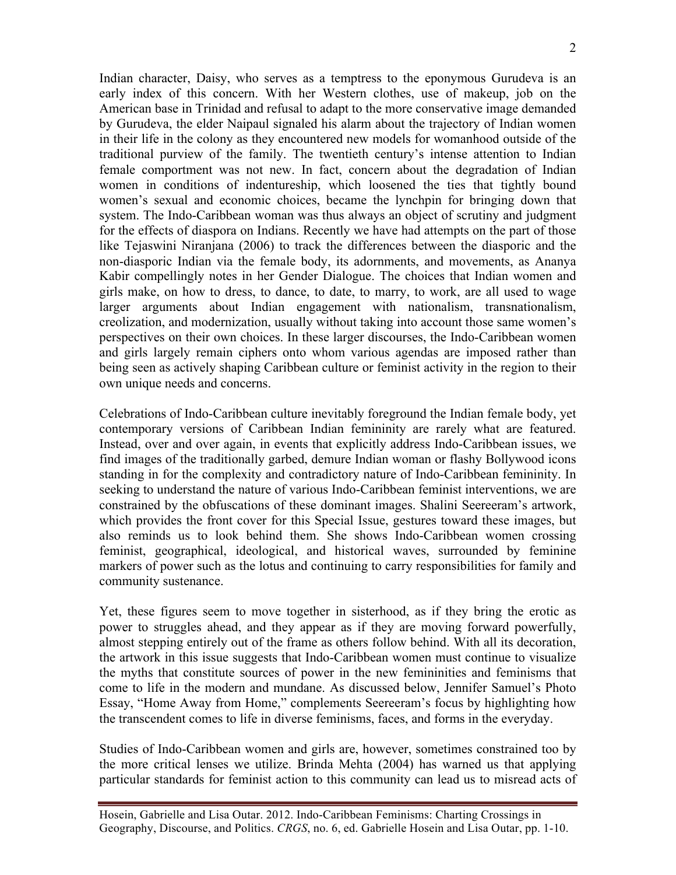Indian character, Daisy, who serves as a temptress to the eponymous Gurudeva is an early index of this concern. With her Western clothes, use of makeup, job on the American base in Trinidad and refusal to adapt to the more conservative image demanded by Gurudeva, the elder Naipaul signaled his alarm about the trajectory of Indian women in their life in the colony as they encountered new models for womanhood outside of the traditional purview of the family. The twentieth century's intense attention to Indian female comportment was not new. In fact, concern about the degradation of Indian women in conditions of indentureship, which loosened the ties that tightly bound women's sexual and economic choices, became the lynchpin for bringing down that system. The Indo-Caribbean woman was thus always an object of scrutiny and judgment for the effects of diaspora on Indians. Recently we have had attempts on the part of those like Tejaswini Niranjana (2006) to track the differences between the diasporic and the non-diasporic Indian via the female body, its adornments, and movements, as Ananya Kabir compellingly notes in her Gender Dialogue. The choices that Indian women and girls make, on how to dress, to dance, to date, to marry, to work, are all used to wage larger arguments about Indian engagement with nationalism, transnationalism, creolization, and modernization, usually without taking into account those same women's perspectives on their own choices. In these larger discourses, the Indo-Caribbean women and girls largely remain ciphers onto whom various agendas are imposed rather than being seen as actively shaping Caribbean culture or feminist activity in the region to their own unique needs and concerns.

Celebrations of Indo-Caribbean culture inevitably foreground the Indian female body, yet contemporary versions of Caribbean Indian femininity are rarely what are featured. Instead, over and over again, in events that explicitly address Indo-Caribbean issues, we find images of the traditionally garbed, demure Indian woman or flashy Bollywood icons standing in for the complexity and contradictory nature of Indo-Caribbean femininity. In seeking to understand the nature of various Indo-Caribbean feminist interventions, we are constrained by the obfuscations of these dominant images. Shalini Seereeram's artwork, which provides the front cover for this Special Issue, gestures toward these images, but also reminds us to look behind them. She shows Indo-Caribbean women crossing feminist, geographical, ideological, and historical waves, surrounded by feminine markers of power such as the lotus and continuing to carry responsibilities for family and community sustenance.

Yet, these figures seem to move together in sisterhood, as if they bring the erotic as power to struggles ahead, and they appear as if they are moving forward powerfully, almost stepping entirely out of the frame as others follow behind. With all its decoration, the artwork in this issue suggests that Indo-Caribbean women must continue to visualize the myths that constitute sources of power in the new femininities and feminisms that come to life in the modern and mundane. As discussed below, Jennifer Samuel's Photo Essay, "Home Away from Home," complements Seereeram's focus by highlighting how the transcendent comes to life in diverse feminisms, faces, and forms in the everyday.

Studies of Indo-Caribbean women and girls are, however, sometimes constrained too by the more critical lenses we utilize. Brinda Mehta (2004) has warned us that applying particular standards for feminist action to this community can lead us to misread acts of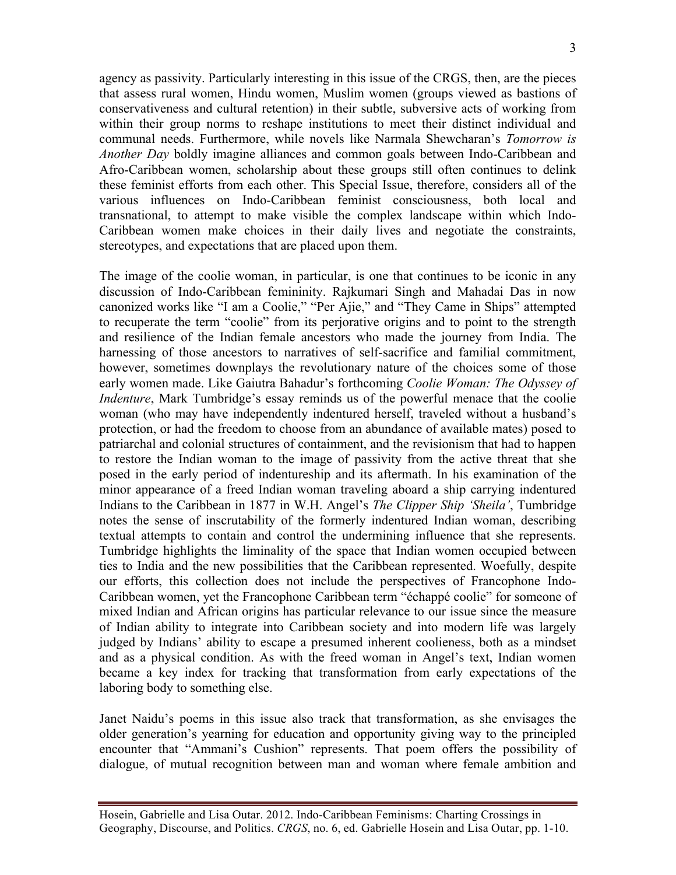agency as passivity. Particularly interesting in this issue of the CRGS, then, are the pieces that assess rural women, Hindu women, Muslim women (groups viewed as bastions of conservativeness and cultural retention) in their subtle, subversive acts of working from within their group norms to reshape institutions to meet their distinct individual and communal needs. Furthermore, while novels like Narmala Shewcharan's *Tomorrow is Another Day* boldly imagine alliances and common goals between Indo-Caribbean and Afro-Caribbean women, scholarship about these groups still often continues to delink these feminist efforts from each other. This Special Issue, therefore, considers all of the various influences on Indo-Caribbean feminist consciousness, both local and transnational, to attempt to make visible the complex landscape within which Indo-Caribbean women make choices in their daily lives and negotiate the constraints, stereotypes, and expectations that are placed upon them.

The image of the coolie woman, in particular, is one that continues to be iconic in any discussion of Indo-Caribbean femininity. Rajkumari Singh and Mahadai Das in now canonized works like "I am a Coolie," "Per Ajie," and "They Came in Ships" attempted to recuperate the term "coolie" from its perjorative origins and to point to the strength and resilience of the Indian female ancestors who made the journey from India. The harnessing of those ancestors to narratives of self-sacrifice and familial commitment, however, sometimes downplays the revolutionary nature of the choices some of those early women made. Like Gaiutra Bahadur's forthcoming *Coolie Woman: The Odyssey of Indenture*, Mark Tumbridge's essay reminds us of the powerful menace that the coolie woman (who may have independently indentured herself, traveled without a husband's protection, or had the freedom to choose from an abundance of available mates) posed to patriarchal and colonial structures of containment, and the revisionism that had to happen to restore the Indian woman to the image of passivity from the active threat that she posed in the early period of indentureship and its aftermath. In his examination of the minor appearance of a freed Indian woman traveling aboard a ship carrying indentured Indians to the Caribbean in 1877 in W.H. Angel's *The Clipper Ship 'Sheila'*, Tumbridge notes the sense of inscrutability of the formerly indentured Indian woman, describing textual attempts to contain and control the undermining influence that she represents. Tumbridge highlights the liminality of the space that Indian women occupied between ties to India and the new possibilities that the Caribbean represented. Woefully, despite our efforts, this collection does not include the perspectives of Francophone Indo-Caribbean women, yet the Francophone Caribbean term "échappé coolie" for someone of mixed Indian and African origins has particular relevance to our issue since the measure of Indian ability to integrate into Caribbean society and into modern life was largely judged by Indians' ability to escape a presumed inherent coolieness, both as a mindset and as a physical condition. As with the freed woman in Angel's text, Indian women became a key index for tracking that transformation from early expectations of the laboring body to something else.

Janet Naidu's poems in this issue also track that transformation, as she envisages the older generation's yearning for education and opportunity giving way to the principled encounter that "Ammani's Cushion" represents. That poem offers the possibility of dialogue, of mutual recognition between man and woman where female ambition and

Hosein, Gabrielle and Lisa Outar. 2012. Indo-Caribbean Feminisms: Charting Crossings in Geography, Discourse, and Politics. *CRGS*, no. 6, ed. Gabrielle Hosein and Lisa Outar, pp. 1-10.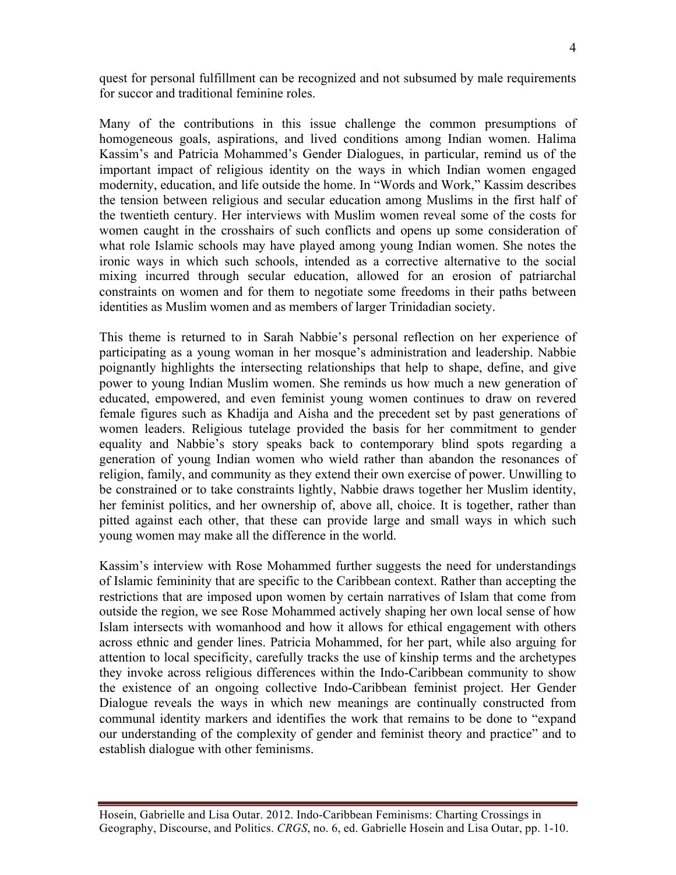quest for personal fulfillment can be recognized and not subsumed by male requirements for succor and traditional feminine roles.

Many of the contributions in this issue challenge the common presumptions of homogeneous goals, aspirations, and lived conditions among Indian women. Halima Kassim's and Patricia Mohammed's Gender Dialogues, in particular, remind us of the important impact of religious identity on the ways in which Indian women engaged modernity, education, and life outside the home. In "Words and Work," Kassim describes the tension between religious and secular education among Muslims in the first half of the twentieth century. Her interviews with Muslim women reveal some of the costs for women caught in the crosshairs of such conflicts and opens up some consideration of what role Islamic schools may have played among young Indian women. She notes the ironic ways in which such schools, intended as a corrective alternative to the social mixing incurred through secular education, allowed for an erosion of patriarchal constraints on women and for them to negotiate some freedoms in their paths between identities as Muslim women and as members of larger Trinidadian society.

This theme is returned to in Sarah Nabbie's personal reflection on her experience of participating as a young woman in her mosque's administration and leadership. Nabbie poignantly highlights the intersecting relationships that help to shape, define, and give power to young Indian Muslim women. She reminds us how much a new generation of educated, empowered, and even feminist young women continues to draw on revered female figures such as Khadija and Aisha and the precedent set by past generations of women leaders. Religious tutelage provided the basis for her commitment to gender equality and Nabbie's story speaks back to contemporary blind spots regarding a generation of young Indian women who wield rather than abandon the resonances of religion, family, and community as they extend their own exercise of power. Unwilling to be constrained or to take constraints lightly, Nabbie draws together her Muslim identity, her feminist politics, and her ownership of, above all, choice. It is together, rather than pitted against each other, that these can provide large and small ways in which such young women may make all the difference in the world.

Kassim's interview with Rose Mohammed further suggests the need for understandings of Islamic femininity that are specific to the Caribbean context. Rather than accepting the restrictions that are imposed upon women by certain narratives of Islam that come from outside the region, we see Rose Mohammed actively shaping her own local sense of how Islam intersects with womanhood and how it allows for ethical engagement with others across ethnic and gender lines. Patricia Mohammed, for her part, while also arguing for attention to local specificity, carefully tracks the use of kinship terms and the archetypes they invoke across religious differences within the Indo-Caribbean community to show the existence of an ongoing collective Indo-Caribbean feminist project. Her Gender Dialogue reveals the ways in which new meanings are continually constructed from communal identity markers and identifies the work that remains to be done to "expand our understanding of the complexity of gender and feminist theory and practice" and to establish dialogue with other feminisms.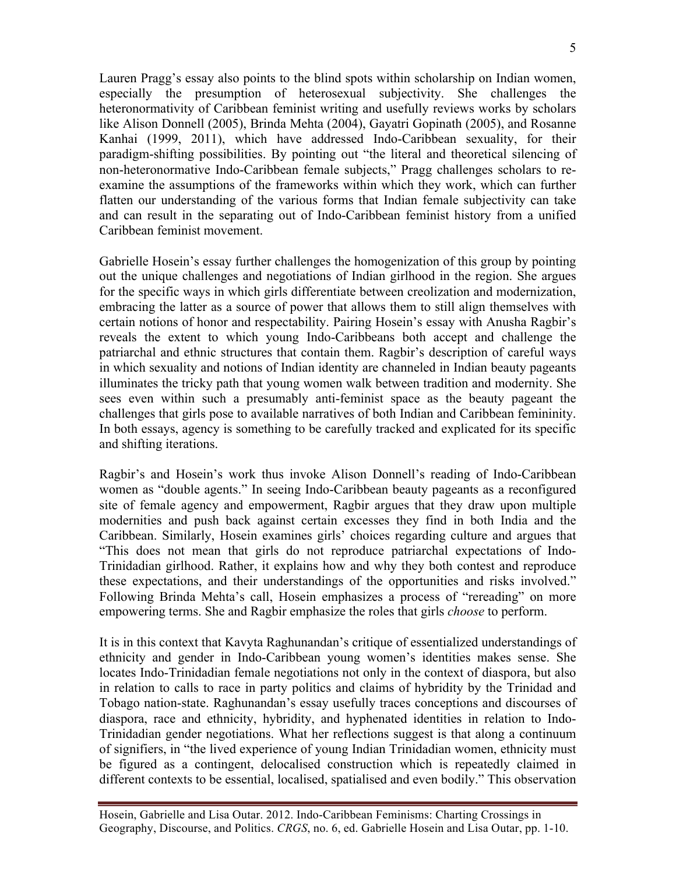Lauren Pragg's essay also points to the blind spots within scholarship on Indian women, especially the presumption of heterosexual subjectivity. She challenges the heteronormativity of Caribbean feminist writing and usefully reviews works by scholars like Alison Donnell (2005), Brinda Mehta (2004), Gayatri Gopinath (2005), and Rosanne Kanhai (1999, 2011), which have addressed Indo-Caribbean sexuality, for their paradigm-shifting possibilities. By pointing out "the literal and theoretical silencing of non-heteronormative Indo-Caribbean female subjects," Pragg challenges scholars to reexamine the assumptions of the frameworks within which they work, which can further flatten our understanding of the various forms that Indian female subjectivity can take and can result in the separating out of Indo-Caribbean feminist history from a unified Caribbean feminist movement.

Gabrielle Hosein's essay further challenges the homogenization of this group by pointing out the unique challenges and negotiations of Indian girlhood in the region. She argues for the specific ways in which girls differentiate between creolization and modernization, embracing the latter as a source of power that allows them to still align themselves with certain notions of honor and respectability. Pairing Hosein's essay with Anusha Ragbir's reveals the extent to which young Indo-Caribbeans both accept and challenge the patriarchal and ethnic structures that contain them. Ragbir's description of careful ways in which sexuality and notions of Indian identity are channeled in Indian beauty pageants illuminates the tricky path that young women walk between tradition and modernity. She sees even within such a presumably anti-feminist space as the beauty pageant the challenges that girls pose to available narratives of both Indian and Caribbean femininity. In both essays, agency is something to be carefully tracked and explicated for its specific and shifting iterations.

Ragbir's and Hosein's work thus invoke Alison Donnell's reading of Indo-Caribbean women as "double agents." In seeing Indo-Caribbean beauty pageants as a reconfigured site of female agency and empowerment, Ragbir argues that they draw upon multiple modernities and push back against certain excesses they find in both India and the Caribbean. Similarly, Hosein examines girls' choices regarding culture and argues that "This does not mean that girls do not reproduce patriarchal expectations of Indo-Trinidadian girlhood. Rather, it explains how and why they both contest and reproduce these expectations, and their understandings of the opportunities and risks involved." Following Brinda Mehta's call, Hosein emphasizes a process of "rereading" on more empowering terms. She and Ragbir emphasize the roles that girls *choose* to perform.

It is in this context that Kavyta Raghunandan's critique of essentialized understandings of ethnicity and gender in Indo-Caribbean young women's identities makes sense. She locates Indo-Trinidadian female negotiations not only in the context of diaspora, but also in relation to calls to race in party politics and claims of hybridity by the Trinidad and Tobago nation-state. Raghunandan's essay usefully traces conceptions and discourses of diaspora, race and ethnicity, hybridity, and hyphenated identities in relation to Indo-Trinidadian gender negotiations. What her reflections suggest is that along a continuum of signifiers, in "the lived experience of young Indian Trinidadian women, ethnicity must be figured as a contingent, delocalised construction which is repeatedly claimed in different contexts to be essential, localised, spatialised and even bodily." This observation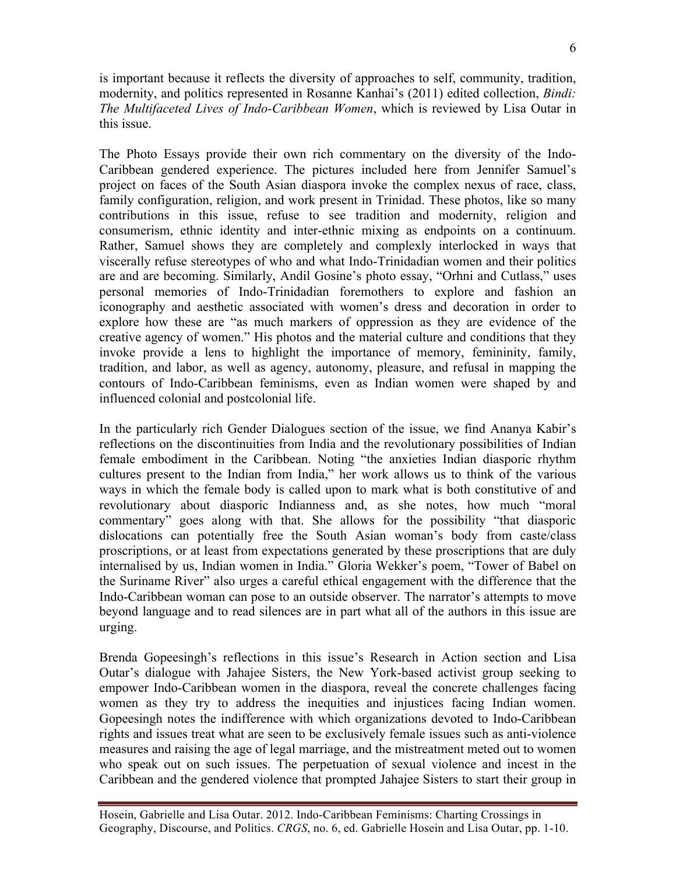is important because it reflects the diversity of approaches to self, community, tradition, modernity, and politics represented in Rosanne Kanhai's (2011) edited collection, *Bindi: The Multifaceted Lives of Indo-Caribbean Women*, which is reviewed by Lisa Outar in this issue.

The Photo Essays provide their own rich commentary on the diversity of the Indo-Caribbean gendered experience. The pictures included here from Jennifer Samuel's project on faces of the South Asian diaspora invoke the complex nexus of race, class, family configuration, religion, and work present in Trinidad. These photos, like so many contributions in this issue, refuse to see tradition and modernity, religion and consumerism, ethnic identity and inter-ethnic mixing as endpoints on a continuum. Rather, Samuel shows they are completely and complexly interlocked in ways that viscerally refuse stereotypes of who and what Indo-Trinidadian women and their politics are and are becoming. Similarly, Andil Gosine's photo essay, "Orhni and Cutlass," uses personal memories of Indo-Trinidadian foremothers to explore and fashion an iconography and aesthetic associated with women's dress and decoration in order to explore how these are "as much markers of oppression as they are evidence of the creative agency of women." His photos and the material culture and conditions that they invoke provide a lens to highlight the importance of memory, femininity, family, tradition, and labor, as well as agency, autonomy, pleasure, and refusal in mapping the contours of Indo-Caribbean feminisms, even as Indian women were shaped by and influenced colonial and postcolonial life.

In the particularly rich Gender Dialogues section of the issue, we find Ananya Kabir's reflections on the discontinuities from India and the revolutionary possibilities of Indian female embodiment in the Caribbean. Noting "the anxieties Indian diasporic rhythm cultures present to the Indian from India," her work allows us to think of the various ways in which the female body is called upon to mark what is both constitutive of and revolutionary about diasporic Indianness and, as she notes, how much "moral commentary" goes along with that. She allows for the possibility "that diasporic dislocations can potentially free the South Asian woman's body from caste/class proscriptions, or at least from expectations generated by these proscriptions that are duly internalised by us, Indian women in India." Gloria Wekker's poem, "Tower of Babel on the Suriname River" also urges a careful ethical engagement with the difference that the Indo-Caribbean woman can pose to an outside observer. The narrator's attempts to move beyond language and to read silences are in part what all of the authors in this issue are urging.

Brenda Gopeesingh's reflections in this issue's Research in Action section and Lisa Outar's dialogue with Jahajee Sisters, the New York-based activist group seeking to empower Indo-Caribbean women in the diaspora, reveal the concrete challenges facing women as they try to address the inequities and injustices facing Indian women. Gopeesingh notes the indifference with which organizations devoted to Indo-Caribbean rights and issues treat what are seen to be exclusively female issues such as anti-violence measures and raising the age of legal marriage, and the mistreatment meted out to women who speak out on such issues. The perpetuation of sexual violence and incest in the Caribbean and the gendered violence that prompted Jahajee Sisters to start their group in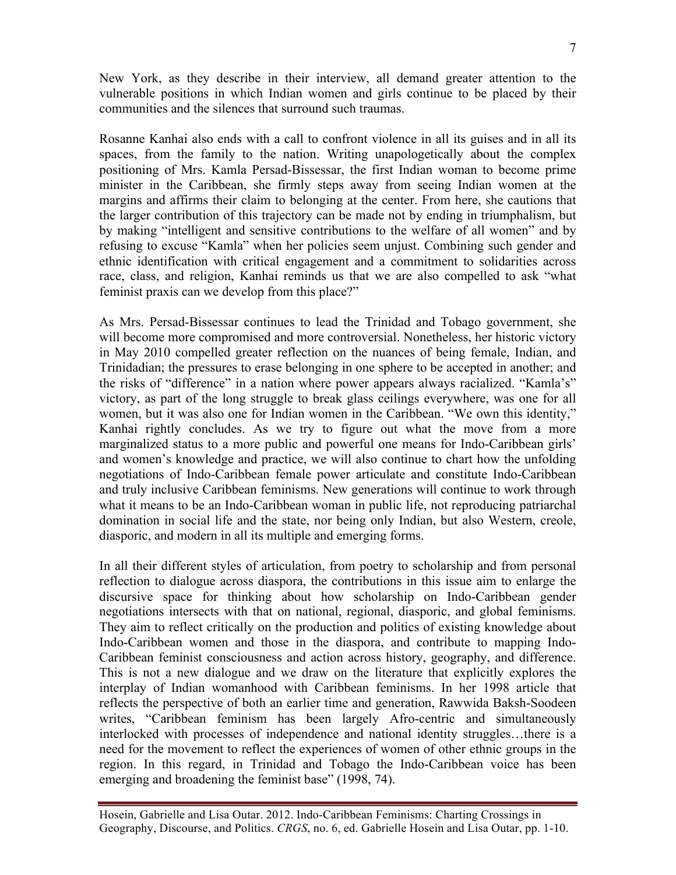New York, as they describe in their interview, all demand greater attention to the vulnerable positions in which Indian women and girls continue to be placed by their communities and the silences that surround such traumas.

Rosanne Kanhai also ends with a call to confront violence in all its guises and in all its spaces, from the family to the nation. Writing unapologetically about the complex positioning of Mrs. Kamla Persad-Bissessar, the first Indian woman to become prime minister in the Caribbean, she firmly steps away from seeing Indian women at the margins and affirms their claim to belonging at the center. From here, she cautions that the larger contribution of this trajectory can be made not by ending in triumphalism, but by making "intelligent and sensitive contributions to the welfare of all women" and by refusing to excuse "Kamla" when her policies seem unjust. Combining such gender and ethnic identification with critical engagement and a commitment to solidarities across race, class, and religion, Kanhai reminds us that we are also compelled to ask "what feminist praxis can we develop from this place?"

As Mrs. Persad-Bissessar continues to lead the Trinidad and Tobago government, she will become more compromised and more controversial. Nonetheless, her historic victory in May 2010 compelled greater reflection on the nuances of being female, Indian, and Trinidadian; the pressures to erase belonging in one sphere to be accepted in another; and the risks of "difference" in a nation where power appears always racialized. "Kamla's" victory, as part of the long struggle to break glass ceilings everywhere, was one for all women, but it was also one for Indian women in the Caribbean. "We own this identity," Kanhai rightly concludes. As we try to figure out what the move from a more marginalized status to a more public and powerful one means for Indo-Caribbean girls' and women's knowledge and practice, we will also continue to chart how the unfolding negotiations of Indo-Caribbean female power articulate and constitute Indo-Caribbean and truly inclusive Caribbean feminisms. New generations will continue to work through what it means to be an Indo-Caribbean woman in public life, not reproducing patriarchal domination in social life and the state, nor being only Indian, but also Western, creole, diasporic, and modern in all its multiple and emerging forms.

In all their different styles of articulation, from poetry to scholarship and from personal reflection to dialogue across diaspora, the contributions in this issue aim to enlarge the discursive space for thinking about how scholarship on Indo-Caribbean gender negotiations intersects with that on national, regional, diasporic, and global feminisms. They aim to reflect critically on the production and politics of existing knowledge about Indo-Caribbean women and those in the diaspora, and contribute to mapping Indo-Caribbean feminist consciousness and action across history, geography, and difference. This is not a new dialogue and we draw on the literature that explicitly explores the interplay of Indian womanhood with Caribbean feminisms. In her 1998 article that reflects the perspective of both an earlier time and generation, Rawwida Baksh-Soodeen writes, "Caribbean feminism has been largely Afro-centric and simultaneously interlocked with processes of independence and national identity struggles…there is a need for the movement to reflect the experiences of women of other ethnic groups in the region. In this regard, in Trinidad and Tobago the Indo-Caribbean voice has been emerging and broadening the feminist base" (1998, 74).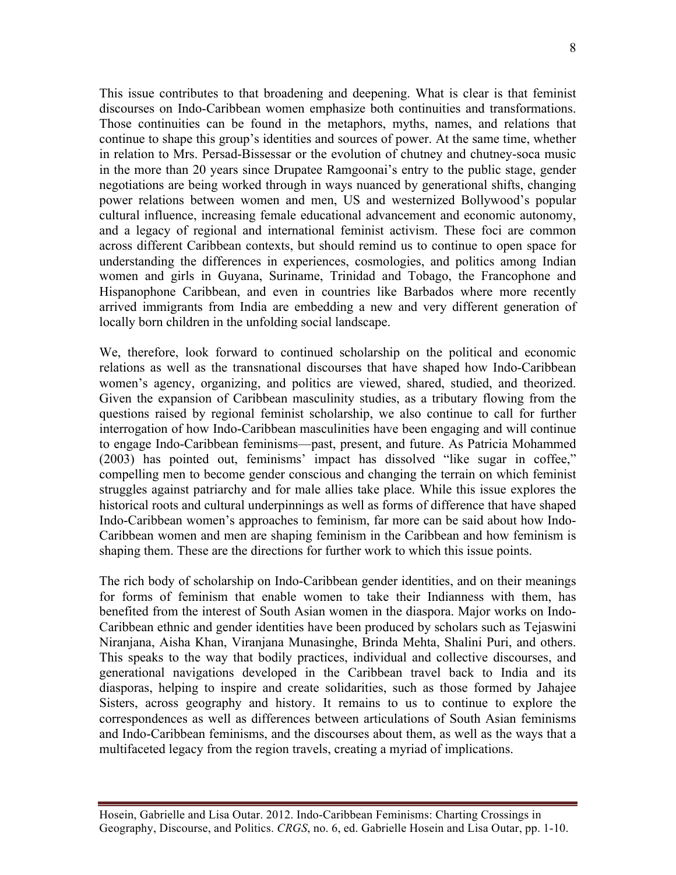This issue contributes to that broadening and deepening. What is clear is that feminist discourses on Indo-Caribbean women emphasize both continuities and transformations. Those continuities can be found in the metaphors, myths, names, and relations that continue to shape this group's identities and sources of power. At the same time, whether in relation to Mrs. Persad-Bissessar or the evolution of chutney and chutney-soca music in the more than 20 years since Drupatee Ramgoonai's entry to the public stage, gender negotiations are being worked through in ways nuanced by generational shifts, changing power relations between women and men, US and westernized Bollywood's popular cultural influence, increasing female educational advancement and economic autonomy, and a legacy of regional and international feminist activism. These foci are common across different Caribbean contexts, but should remind us to continue to open space for understanding the differences in experiences, cosmologies, and politics among Indian women and girls in Guyana, Suriname, Trinidad and Tobago, the Francophone and Hispanophone Caribbean, and even in countries like Barbados where more recently arrived immigrants from India are embedding a new and very different generation of locally born children in the unfolding social landscape.

We, therefore, look forward to continued scholarship on the political and economic relations as well as the transnational discourses that have shaped how Indo-Caribbean women's agency, organizing, and politics are viewed, shared, studied, and theorized. Given the expansion of Caribbean masculinity studies, as a tributary flowing from the questions raised by regional feminist scholarship, we also continue to call for further interrogation of how Indo-Caribbean masculinities have been engaging and will continue to engage Indo-Caribbean feminisms—past, present, and future. As Patricia Mohammed (2003) has pointed out, feminisms' impact has dissolved "like sugar in coffee," compelling men to become gender conscious and changing the terrain on which feminist struggles against patriarchy and for male allies take place. While this issue explores the historical roots and cultural underpinnings as well as forms of difference that have shaped Indo-Caribbean women's approaches to feminism, far more can be said about how Indo-Caribbean women and men are shaping feminism in the Caribbean and how feminism is shaping them. These are the directions for further work to which this issue points.

The rich body of scholarship on Indo-Caribbean gender identities, and on their meanings for forms of feminism that enable women to take their Indianness with them, has benefited from the interest of South Asian women in the diaspora. Major works on Indo-Caribbean ethnic and gender identities have been produced by scholars such as Tejaswini Niranjana, Aisha Khan, Viranjana Munasinghe, Brinda Mehta, Shalini Puri, and others. This speaks to the way that bodily practices, individual and collective discourses, and generational navigations developed in the Caribbean travel back to India and its diasporas, helping to inspire and create solidarities, such as those formed by Jahajee Sisters, across geography and history. It remains to us to continue to explore the correspondences as well as differences between articulations of South Asian feminisms and Indo-Caribbean feminisms, and the discourses about them, as well as the ways that a multifaceted legacy from the region travels, creating a myriad of implications.

Hosein, Gabrielle and Lisa Outar. 2012. Indo-Caribbean Feminisms: Charting Crossings in Geography, Discourse, and Politics. *CRGS*, no. 6, ed. Gabrielle Hosein and Lisa Outar, pp. 1-10.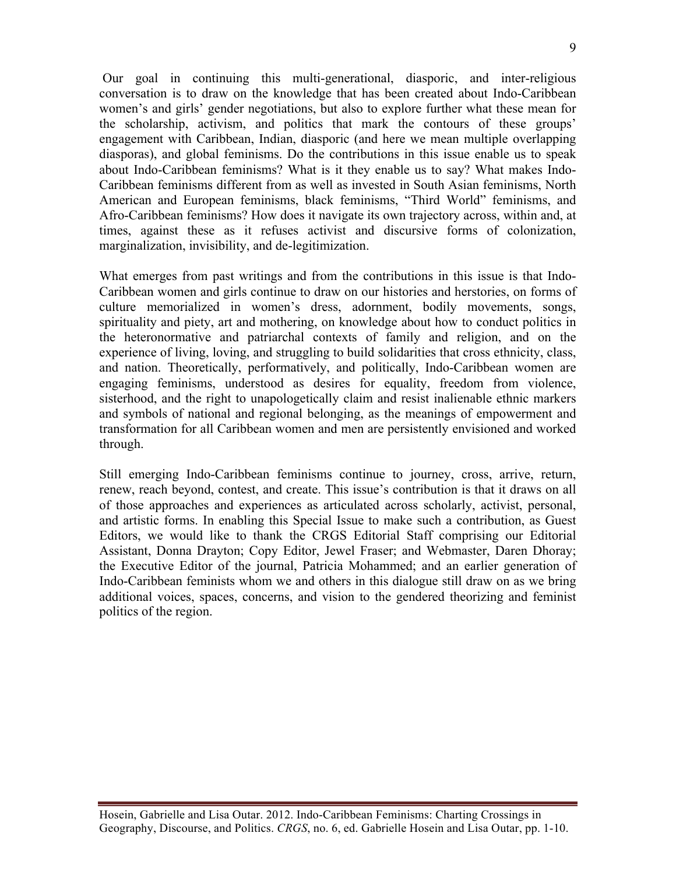Our goal in continuing this multi-generational, diasporic, and inter-religious conversation is to draw on the knowledge that has been created about Indo-Caribbean women's and girls' gender negotiations, but also to explore further what these mean for the scholarship, activism, and politics that mark the contours of these groups' engagement with Caribbean, Indian, diasporic (and here we mean multiple overlapping diasporas), and global feminisms. Do the contributions in this issue enable us to speak about Indo-Caribbean feminisms? What is it they enable us to say? What makes Indo-Caribbean feminisms different from as well as invested in South Asian feminisms, North American and European feminisms, black feminisms, "Third World" feminisms, and Afro-Caribbean feminisms? How does it navigate its own trajectory across, within and, at times, against these as it refuses activist and discursive forms of colonization, marginalization, invisibility, and de-legitimization.

What emerges from past writings and from the contributions in this issue is that Indo-Caribbean women and girls continue to draw on our histories and herstories, on forms of culture memorialized in women's dress, adornment, bodily movements, songs, spirituality and piety, art and mothering, on knowledge about how to conduct politics in the heteronormative and patriarchal contexts of family and religion, and on the experience of living, loving, and struggling to build solidarities that cross ethnicity, class, and nation. Theoretically, performatively, and politically, Indo-Caribbean women are engaging feminisms, understood as desires for equality, freedom from violence, sisterhood, and the right to unapologetically claim and resist inalienable ethnic markers and symbols of national and regional belonging, as the meanings of empowerment and transformation for all Caribbean women and men are persistently envisioned and worked through.

Still emerging Indo-Caribbean feminisms continue to journey, cross, arrive, return, renew, reach beyond, contest, and create. This issue's contribution is that it draws on all of those approaches and experiences as articulated across scholarly, activist, personal, and artistic forms. In enabling this Special Issue to make such a contribution, as Guest Editors, we would like to thank the CRGS Editorial Staff comprising our Editorial Assistant, Donna Drayton; Copy Editor, Jewel Fraser; and Webmaster, Daren Dhoray; the Executive Editor of the journal, Patricia Mohammed; and an earlier generation of Indo-Caribbean feminists whom we and others in this dialogue still draw on as we bring additional voices, spaces, concerns, and vision to the gendered theorizing and feminist politics of the region.

Hosein, Gabrielle and Lisa Outar. 2012. Indo-Caribbean Feminisms: Charting Crossings in Geography, Discourse, and Politics. *CRGS*, no. 6, ed. Gabrielle Hosein and Lisa Outar, pp. 1-10.